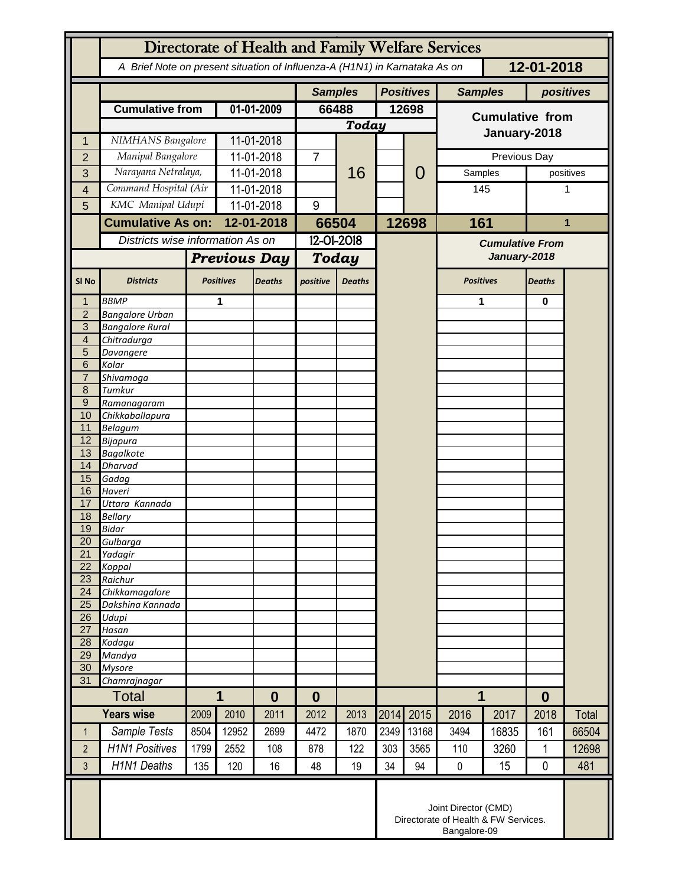|                       | Directorate of Health and Family Welfare Services                                        |                     |                            |                  |                |               |       |                  |                                                                              |                  |               |              |  |
|-----------------------|------------------------------------------------------------------------------------------|---------------------|----------------------------|------------------|----------------|---------------|-------|------------------|------------------------------------------------------------------------------|------------------|---------------|--------------|--|
|                       | A Brief Note on present situation of Influenza-A (H1N1) in Karnataka As on<br>12-01-2018 |                     |                            |                  |                |               |       |                  |                                                                              |                  |               |              |  |
|                       |                                                                                          |                     |                            |                  | <b>Samples</b> |               |       | <b>Positives</b> | <b>Samples</b>                                                               |                  | positives     |              |  |
|                       | <b>Cumulative from</b>                                                                   |                     | 01-01-2009                 |                  | 66488          |               | 12698 |                  | <b>Cumulative from</b>                                                       |                  |               |              |  |
|                       |                                                                                          |                     |                            |                  |                | <b>Today</b>  |       |                  | January-2018                                                                 |                  |               |              |  |
| 1                     |                                                                                          | NIMHANS Bangalore   |                            | 11-01-2018       |                | 16            |       | 0                |                                                                              |                  |               |              |  |
| $\overline{2}$        | Manipal Bangalore<br>Narayana Netralaya,                                                 |                     | 11-01-2018                 |                  | $\overline{7}$ |               |       |                  |                                                                              | Previous Day     | positives     |              |  |
| 3                     | Command Hospital (Air                                                                    |                     | 11-01-2018                 |                  |                |               |       |                  | Samples                                                                      |                  |               |              |  |
| 4                     | KMC Manipal Udupi                                                                        |                     | 11-01-2018<br>$11-01-2018$ |                  | 9              |               |       |                  |                                                                              | 145              |               | 1            |  |
| 5                     |                                                                                          |                     |                            | 12-01-2018       |                |               |       |                  | 161                                                                          |                  |               |              |  |
|                       | <b>Cumulative As on:</b>                                                                 |                     |                            |                  | 66504          |               | 12698 |                  |                                                                              |                  |               | 1            |  |
|                       | Districts wise information As on                                                         |                     |                            |                  | 12-01-2018     |               |       |                  | <b>Cumulative From</b><br>January-2018                                       |                  |               |              |  |
|                       |                                                                                          | <b>Previous Day</b> |                            | <b>Today</b>     |                |               |       |                  |                                                                              |                  |               |              |  |
| SI <sub>No</sub>      | <b>Districts</b>                                                                         |                     | <b>Positives</b>           | <b>Deaths</b>    | positive       | <b>Deaths</b> |       |                  | <b>Positives</b>                                                             |                  | <b>Deaths</b> |              |  |
| 1                     | <b>BBMP</b>                                                                              |                     | 1                          |                  |                |               |       |                  | 1                                                                            |                  | 0             |              |  |
| $\overline{2}$<br>3   | <b>Bangalore Urban</b><br><b>Bangalore Rural</b>                                         |                     |                            |                  |                |               |       |                  |                                                                              |                  |               |              |  |
| $\overline{4}$        | Chitradurga                                                                              |                     |                            |                  |                |               |       |                  |                                                                              |                  |               |              |  |
| 5                     | Davangere                                                                                |                     |                            |                  |                |               |       |                  |                                                                              |                  |               |              |  |
| 6<br>$\overline{7}$   | Kolar<br>Shivamoga                                                                       |                     |                            |                  |                |               |       |                  |                                                                              |                  |               |              |  |
| 8                     | Tumkur                                                                                   |                     |                            |                  |                |               |       |                  |                                                                              |                  |               |              |  |
| $\overline{9}$        | Ramanagaram                                                                              |                     |                            |                  |                |               |       |                  |                                                                              |                  |               |              |  |
| 10                    | Chikkaballapura                                                                          |                     |                            |                  |                |               |       |                  |                                                                              |                  |               |              |  |
| 11<br>12              | <b>Belagum</b><br>Bijapura                                                               |                     |                            |                  |                |               |       |                  |                                                                              |                  |               |              |  |
| 13                    | <b>Bagalkote</b>                                                                         |                     |                            |                  |                |               |       |                  |                                                                              |                  |               |              |  |
| 14                    | <b>Dharvad</b>                                                                           |                     |                            |                  |                |               |       |                  |                                                                              |                  |               |              |  |
| 15<br>16              | Gadag<br>Haveri                                                                          |                     |                            |                  |                |               |       |                  |                                                                              |                  |               |              |  |
| 17                    | Uttara Kannada                                                                           |                     |                            |                  |                |               |       |                  |                                                                              |                  |               |              |  |
| 18                    | <b>Bellary</b>                                                                           |                     |                            |                  |                |               |       |                  |                                                                              |                  |               |              |  |
| 19                    | <b>Bidar</b>                                                                             |                     |                            |                  |                |               |       |                  |                                                                              |                  |               |              |  |
| 20<br>$\overline{21}$ | Gulbarga<br>Yadagir                                                                      |                     |                            |                  |                |               |       |                  |                                                                              |                  |               |              |  |
| 22                    | Koppal                                                                                   |                     |                            |                  |                |               |       |                  |                                                                              |                  |               |              |  |
| 23                    | Raichur                                                                                  |                     |                            |                  |                |               |       |                  |                                                                              |                  |               |              |  |
| 24<br>25              | Chikkamagalore<br>Dakshina Kannada                                                       |                     |                            |                  |                |               |       |                  |                                                                              |                  |               |              |  |
| 26                    | Udupi                                                                                    |                     |                            |                  |                |               |       |                  |                                                                              |                  |               |              |  |
| 27                    | Hasan                                                                                    |                     |                            |                  |                |               |       |                  |                                                                              |                  |               |              |  |
| 28                    | Kodagu                                                                                   |                     |                            |                  |                |               |       |                  |                                                                              |                  |               |              |  |
| 29<br>30              | Mandya<br><b>Mysore</b>                                                                  |                     |                            |                  |                |               |       |                  |                                                                              |                  |               |              |  |
| 31                    | Chamrajnagar                                                                             |                     |                            |                  |                |               |       |                  |                                                                              |                  |               |              |  |
| <b>Total</b>          |                                                                                          | 1<br>$\bf{0}$       |                            | $\boldsymbol{0}$ |                |               |       | 1                |                                                                              | $\boldsymbol{0}$ |               |              |  |
| <b>Years wise</b>     |                                                                                          | 2009                | 2010                       | 2011             | 2012           | 2013          | 2014  | 2015             | 2016                                                                         | 2017             | 2018          | <b>Total</b> |  |
| $\mathbf 1$           | Sample Tests                                                                             | 8504                | 12952                      | 2699             | 4472           | 1870          | 2349  | 13168            | 3494                                                                         | 16835            | 161           | 66504        |  |
| $\overline{2}$        | <b>H1N1 Positives</b>                                                                    | 1799                | 2552                       | 108              | 878            | 122           | 303   | 3565             | 110                                                                          | 3260             | $\mathbf{1}$  | 12698        |  |
| 3                     | <b>H1N1 Deaths</b>                                                                       | 135                 | 120                        | 16               | 48             | 19            | 34    | 94               | $\mathbf 0$                                                                  | 15               | 0             | 481          |  |
|                       |                                                                                          |                     |                            |                  |                |               |       |                  | Joint Director (CMD)<br>Directorate of Health & FW Services.<br>Bangalore-09 |                  |               |              |  |